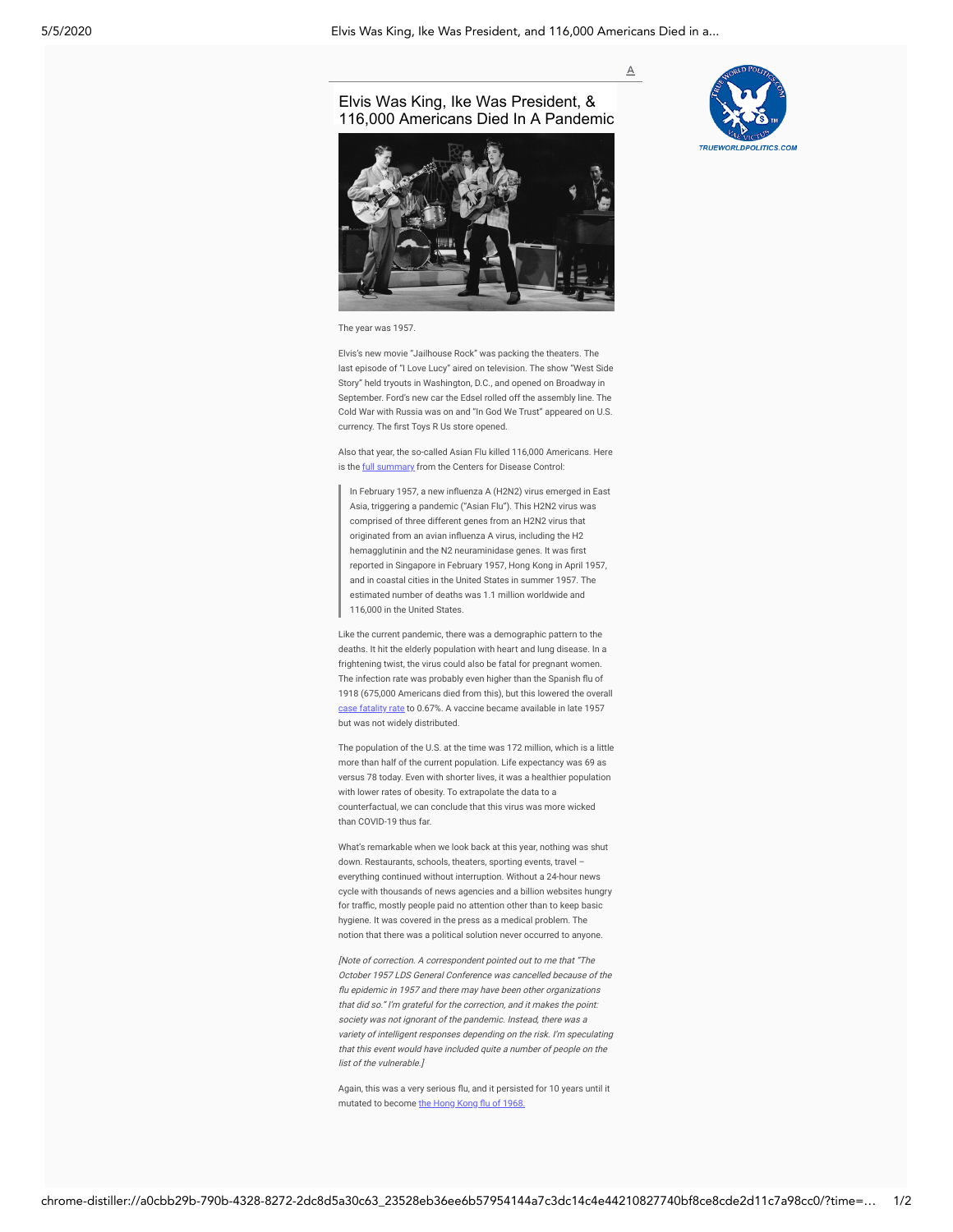$\overline{A}$ 

## Elvis Was King, Ike Was President, & [116,000 Americans Died In A Pandemic](https://www.aier.org/article/elvis-was-king-ike-was-president-and-116000-americans-died-in-a-pandemic/)





The year was 1957.

Elvis's new movie "Jailhouse Rock" was packing the theaters. The last episode of "I Love Lucy" aired on television. The show "West Side Story" held tryouts in Washington, D.C., and opened on Broadway in September. Ford's new car the Edsel rolled off the assembly line. The Cold War with Russia was on and "In God We Trust" appeared on U.S. currency. The first Toys R Us store opened.

Also that year, the so-called Asian Flu killed 116,000 Americans. Here is the **full summary** from the Centers for Disease Control:

In February 1957, a new influenza A (H2N2) virus emerged in East Asia, triggering a pandemic ("Asian Flu"). This H2N2 virus was comprised of three different genes from an H2N2 virus that originated from an avian influenza A virus, including the H2 hemagglutinin and the N2 neuraminidase genes. It was first reported in Singapore in February 1957, Hong Kong in April 1957, and in coastal cities in the United States in summer 1957. The estimated number of deaths was 1.1 million worldwide and 116,000 in the United States.

Like the current pandemic, there was a demographic pattern to the deaths. It hit the elderly population with heart and lung disease. In a frightening twist, the virus could also be fatal for pregnant women. The infection rate was probably even higher than the Spanish flu of 1918 (675,000 Americans died from this), but this lowered the overall [case fatality rate](https://en.wikipedia.org/wiki/1957%E2%80%9358_influenza_pandemic) to 0.67%. A vaccine became available in late 1957 but was not widely distributed.

The population of the U.S. at the time was 172 million, which is a little more than half of the current population. Life expectancy was 69 as versus 78 today. Even with shorter lives, it was a healthier population with lower rates of obesity. To extrapolate the data to a counterfactual, we can conclude that this virus was more wicked than COVID-19 thus far.

What's remarkable when we look back at this year, nothing was shut down. Restaurants, schools, theaters, sporting events, travel – everything continued without interruption. Without a 24-hour news cycle with thousands of news agencies and a billion websites hungry for traffic, mostly people paid no attention other than to keep basic hygiene. It was covered in the press as a medical problem. The notion that there was a political solution never occurred to anyone.

[Note of correction. A correspondent pointed out to me that "The October 1957 LDS General Conference was cancelled because of the u epidemic in 1957 and there may have been other organizations that did so." I'm grateful for the correction, and it makes the point: society was not ignorant of the pandemic. Instead, there was a variety of intelligent responses depending on the risk. I'm speculating that this event would have included quite a number of people on the list of the vulnerable.]

Again, this was a very serious flu, and it persisted for 10 years until it mutated to become the Hong Kong flu of 1968.